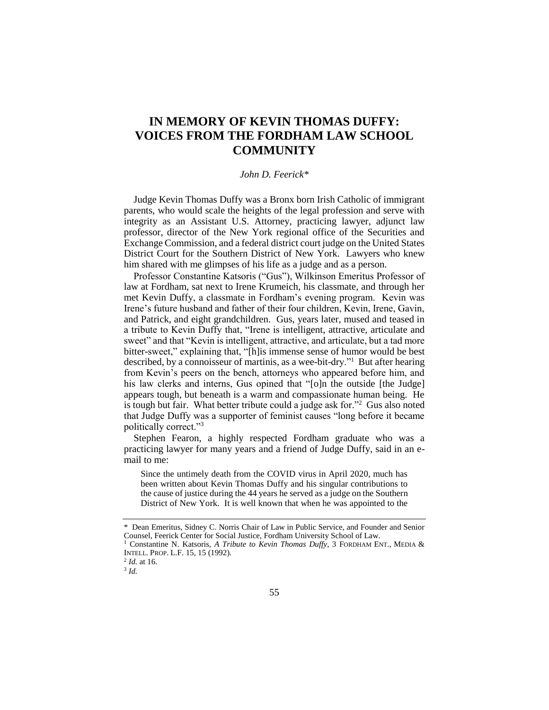## **IN MEMORY OF KEVIN THOMAS DUFFY: VOICES FROM THE FORDHAM LAW SCHOOL COMMUNITY**

## *John D. Feerick\**

Judge Kevin Thomas Duffy was a Bronx born Irish Catholic of immigrant parents, who would scale the heights of the legal profession and serve with integrity as an Assistant U.S. Attorney, practicing lawyer, adjunct law professor, director of the New York regional office of the Securities and Exchange Commission, and a federal district court judge on the United States District Court for the Southern District of New York. Lawyers who knew him shared with me glimpses of his life as a judge and as a person.

Professor Constantine Katsoris ("Gus"), Wilkinson Emeritus Professor of law at Fordham, sat next to Irene Krumeich, his classmate, and through her met Kevin Duffy, a classmate in Fordham's evening program. Kevin was Irene's future husband and father of their four children, Kevin, Irene, Gavin, and Patrick, and eight grandchildren. Gus, years later, mused and teased in a tribute to Kevin Duffy that, "Irene is intelligent, attractive, articulate and sweet" and that "Kevin is intelligent, attractive, and articulate, but a tad more bitter-sweet," explaining that, "[h]is immense sense of humor would be best described, by a connoisseur of martinis, as a wee-bit-dry."<sup>1</sup> But after hearing from Kevin's peers on the bench, attorneys who appeared before him, and his law clerks and interns, Gus opined that "[o]n the outside [the Judge] appears tough, but beneath is a warm and compassionate human being. He is tough but fair. What better tribute could a judge ask for."<sup>2</sup> Gus also noted that Judge Duffy was a supporter of feminist causes "long before it became politically correct."<sup>3</sup>

Stephen Fearon, a highly respected Fordham graduate who was a practicing lawyer for many years and a friend of Judge Duffy, said in an email to me:

Since the untimely death from the COVID virus in April 2020, much has been written about Kevin Thomas Duffy and his singular contributions to the cause of justice during the 44 years he served as a judge on the Southern District of New York. It is well known that when he was appointed to the

<sup>\*</sup> Dean Emeritus, Sidney C. Norris Chair of Law in Public Service, and Founder and Senior Counsel, Feerick Center for Social Justice, Fordham University School of Law.

<sup>&</sup>lt;sup>1</sup> Constantine N. Katsoris, *A Tribute to Kevin Thomas Duffy*, 3 FORDHAM ENT., MEDIA & INTELL. PROP. L.F. 15, 15 (1992).

<sup>2</sup> *Id.* at 16.

<sup>3</sup> *Id.*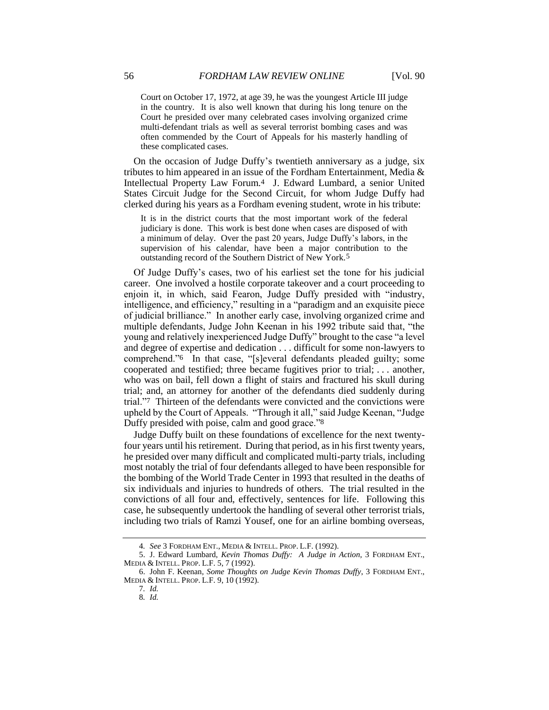Court on October 17, 1972, at age 39, he was the youngest Article III judge in the country. It is also well known that during his long tenure on the Court he presided over many celebrated cases involving organized crime multi-defendant trials as well as several terrorist bombing cases and was often commended by the Court of Appeals for his masterly handling of these complicated cases.

On the occasion of Judge Duffy's twentieth anniversary as a judge, six tributes to him appeared in an issue of the Fordham Entertainment, Media  $\&$ Intellectual Property Law Forum.4 J. Edward Lumbard, a senior United States Circuit Judge for the Second Circuit, for whom Judge Duffy had clerked during his years as a Fordham evening student, wrote in his tribute:

It is in the district courts that the most important work of the federal judiciary is done. This work is best done when cases are disposed of with a minimum of delay. Over the past 20 years, Judge Duffy's labors, in the supervision of his calendar, have been a major contribution to the outstanding record of the Southern District of New York.5

Of Judge Duffy's cases, two of his earliest set the tone for his judicial career. One involved a hostile corporate takeover and a court proceeding to enjoin it, in which, said Fearon, Judge Duffy presided with "industry, intelligence, and efficiency," resulting in a "paradigm and an exquisite piece of judicial brilliance." In another early case, involving organized crime and multiple defendants, Judge John Keenan in his 1992 tribute said that, "the young and relatively inexperienced Judge Duffy" brought to the case "a level and degree of expertise and dedication . . . difficult for some non-lawyers to comprehend."6 In that case, "[s]everal defendants pleaded guilty; some cooperated and testified; three became fugitives prior to trial; . . . another, who was on bail, fell down a flight of stairs and fractured his skull during trial; and, an attorney for another of the defendants died suddenly during trial."7 Thirteen of the defendants were convicted and the convictions were upheld by the Court of Appeals. "Through it all," said Judge Keenan, "Judge Duffy presided with poise, calm and good grace."8

Judge Duffy built on these foundations of excellence for the next twentyfour years until his retirement. During that period, as in his first twenty years, he presided over many difficult and complicated multi-party trials, including most notably the trial of four defendants alleged to have been responsible for the bombing of the World Trade Center in 1993 that resulted in the deaths of six individuals and injuries to hundreds of others. The trial resulted in the convictions of all four and, effectively, sentences for life. Following this case, he subsequently undertook the handling of several other terrorist trials, including two trials of Ramzi Yousef, one for an airline bombing overseas,

<sup>4</sup>*. See* 3 FORDHAM ENT., MEDIA & INTELL. PROP. L.F. (1992).

<sup>5.</sup> J. Edward Lumbard, *Kevin Thomas Duffy: A Judge in Action*, 3 FORDHAM ENT., MEDIA & INTELL. PROP. L.F. 5, 7 (1992).

<sup>6.</sup> John F. Keenan, *Some Thoughts on Judge Kevin Thomas Duffy*, 3 FORDHAM ENT., MEDIA & INTELL. PROP. L.F. 9, 10 (1992).

<sup>7</sup>*. Id.* 8*. Id.*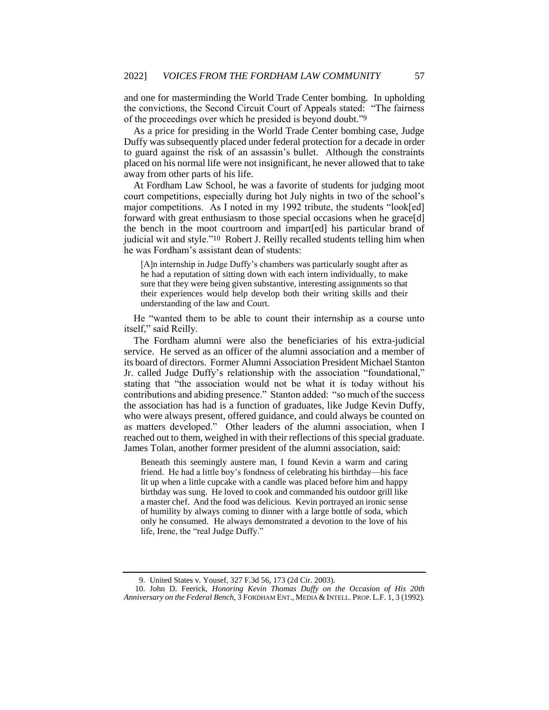and one for masterminding the World Trade Center bombing. In upholding the convictions, the Second Circuit Court of Appeals stated: "The fairness of the proceedings over which he presided is beyond doubt."9

As a price for presiding in the World Trade Center bombing case, Judge Duffy was subsequently placed under federal protection for a decade in order to guard against the risk of an assassin's bullet. Although the constraints placed on his normal life were not insignificant, he never allowed that to take away from other parts of his life.

At Fordham Law School, he was a favorite of students for judging moot court competitions, especially during hot July nights in two of the school's major competitions. As I noted in my 1992 tribute, the students "look[ed] forward with great enthusiasm to those special occasions when he grace[d] the bench in the moot courtroom and impart[ed] his particular brand of judicial wit and style."10 Robert J. Reilly recalled students telling him when he was Fordham's assistant dean of students:

[A]n internship in Judge Duffy's chambers was particularly sought after as he had a reputation of sitting down with each intern individually, to make sure that they were being given substantive, interesting assignments so that their experiences would help develop both their writing skills and their understanding of the law and Court.

He "wanted them to be able to count their internship as a course unto itself," said Reilly.

The Fordham alumni were also the beneficiaries of his extra-judicial service. He served as an officer of the alumni association and a member of its board of directors. Former Alumni Association President Michael Stanton Jr. called Judge Duffy's relationship with the association "foundational," stating that "the association would not be what it is today without his contributions and abiding presence." Stanton added: "so much of the success the association has had is a function of graduates, like Judge Kevin Duffy, who were always present, offered guidance, and could always be counted on as matters developed." Other leaders of the alumni association, when I reached out to them, weighed in with their reflections of this special graduate. James Tolan, another former president of the alumni association, said:

Beneath this seemingly austere man, I found Kevin a warm and caring friend. He had a little boy's fondness of celebrating his birthday—his face lit up when a little cupcake with a candle was placed before him and happy birthday was sung. He loved to cook and commanded his outdoor grill like a master chef. And the food was delicious. Kevin portrayed an ironic sense of humility by always coming to dinner with a large bottle of soda, which only he consumed. He always demonstrated a devotion to the love of his life, Irene, the "real Judge Duffy."

10. John D. Feerick, *Honoring Kevin Thomas Duffy on the Occasion of His 20th Anniversary on the Federal Bench*, 3 FORDHAM ENT., MEDIA & INTELL. PROP. L.F. 1, 3 (1992).

<sup>9.</sup> United States v. Yousef, 327 F.3d 56, 173 (2d Cir. 2003).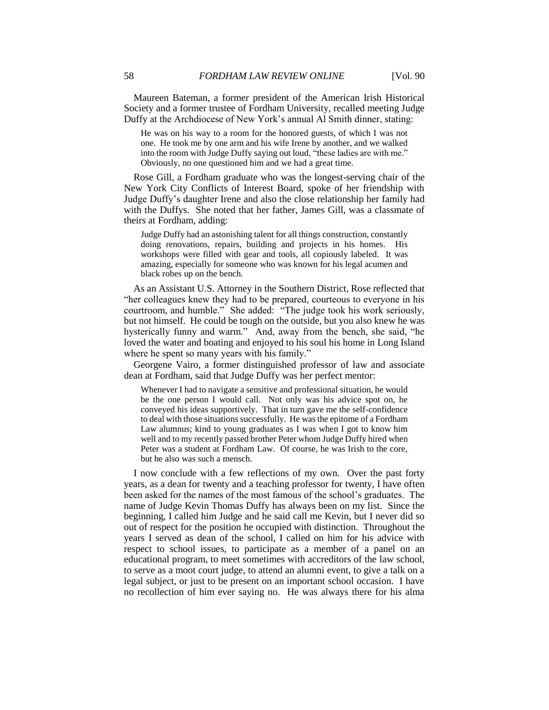Maureen Bateman, a former president of the American Irish Historical Society and a former trustee of Fordham University, recalled meeting Judge Duffy at the Archdiocese of New York's annual Al Smith dinner, stating:

He was on his way to a room for the honored guests, of which I was not one. He took me by one arm and his wife Irene by another, and we walked into the room with Judge Duffy saying out loud, "these ladies are with me." Obviously, no one questioned him and we had a great time.

Rose Gill, a Fordham graduate who was the longest-serving chair of the New York City Conflicts of Interest Board, spoke of her friendship with Judge Duffy's daughter Irene and also the close relationship her family had with the Duffys. She noted that her father, James Gill, was a classmate of theirs at Fordham, adding:

Judge Duffy had an astonishing talent for all things construction, constantly doing renovations, repairs, building and projects in his homes. His workshops were filled with gear and tools, all copiously labeled. It was amazing, especially for someone who was known for his legal acumen and black robes up on the bench.

As an Assistant U.S. Attorney in the Southern District, Rose reflected that "her colleagues knew they had to be prepared, courteous to everyone in his courtroom, and humble." She added: "The judge took his work seriously, but not himself. He could be tough on the outside, but you also knew he was hysterically funny and warm." And, away from the bench, she said, "he loved the water and boating and enjoyed to his soul his home in Long Island where he spent so many years with his family."

Georgene Vairo, a former distinguished professor of law and associate dean at Fordham, said that Judge Duffy was her perfect mentor:

Whenever I had to navigate a sensitive and professional situation, he would be the one person I would call. Not only was his advice spot on, he conveyed his ideas supportively. That in turn gave me the self-confidence to deal with those situations successfully. He was the epitome of a Fordham Law alumnus; kind to young graduates as I was when I got to know him well and to my recently passed brother Peter whom Judge Duffy hired when Peter was a student at Fordham Law. Of course, he was Irish to the core, but he also was such a mensch.

I now conclude with a few reflections of my own. Over the past forty years, as a dean for twenty and a teaching professor for twenty, I have often been asked for the names of the most famous of the school's graduates. The name of Judge Kevin Thomas Duffy has always been on my list. Since the beginning, I called him Judge and he said call me Kevin, but I never did so out of respect for the position he occupied with distinction. Throughout the years I served as dean of the school, I called on him for his advice with respect to school issues, to participate as a member of a panel on an educational program, to meet sometimes with accreditors of the law school, to serve as a moot court judge, to attend an alumni event, to give a talk on a legal subject, or just to be present on an important school occasion. I have no recollection of him ever saying no. He was always there for his alma